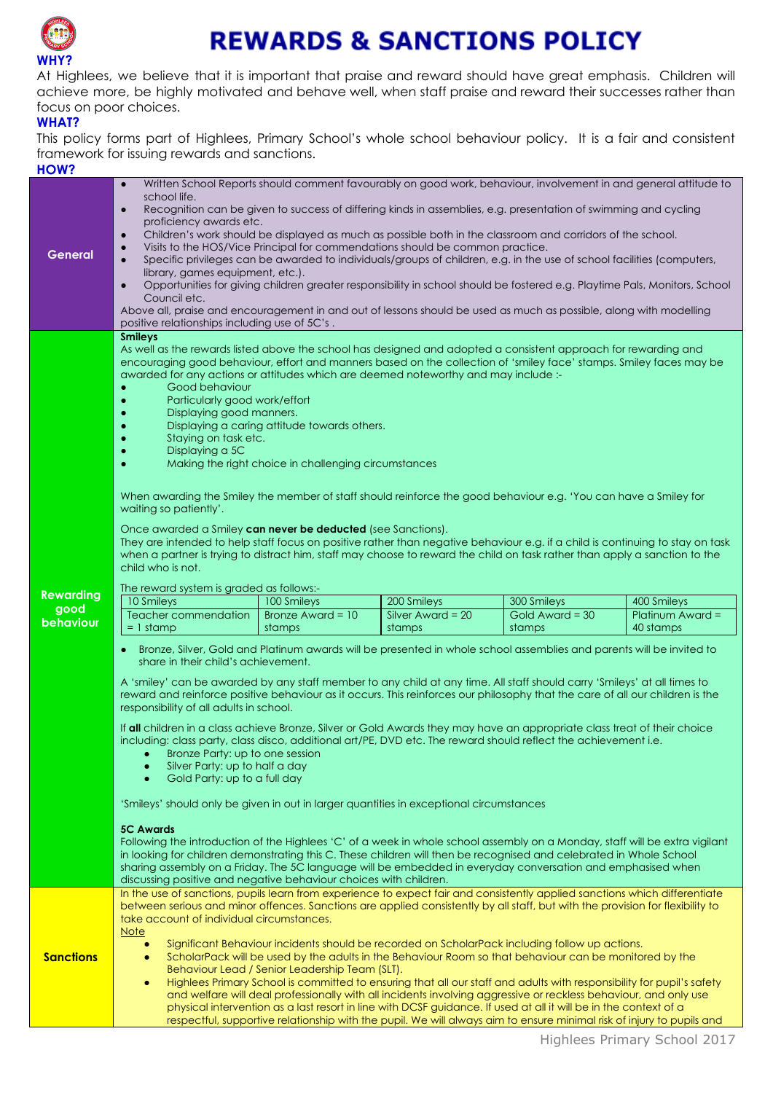

## **REWARDS & SANCTIONS POLICY**

At Highlees, we believe that it is important that praise and reward should have great emphasis. Children will achieve more, be highly motivated and behave well, when staff praise and reward their successes rather than focus on poor choices.

## **WHAT?**

This policy forms part of Highlees, Primary School's whole school behaviour policy. It is a fair and consistent framework for issuing rewards and sanctions.

| HOW?                                  |                                                                                                                                                                                                                                                                                                                                                                                                                                                                                                                                                                                                                                                                                                                                                                                                                                                                                                                                                                                                                                                                                                                                                                                                                                                                                                                                                                                                                                                                                                                                                                                                                                                                                                                                                                                                                                                                                                                                                                                                                                                                                                                                                                                                                                                                                          |  |  |  |  |
|---------------------------------------|------------------------------------------------------------------------------------------------------------------------------------------------------------------------------------------------------------------------------------------------------------------------------------------------------------------------------------------------------------------------------------------------------------------------------------------------------------------------------------------------------------------------------------------------------------------------------------------------------------------------------------------------------------------------------------------------------------------------------------------------------------------------------------------------------------------------------------------------------------------------------------------------------------------------------------------------------------------------------------------------------------------------------------------------------------------------------------------------------------------------------------------------------------------------------------------------------------------------------------------------------------------------------------------------------------------------------------------------------------------------------------------------------------------------------------------------------------------------------------------------------------------------------------------------------------------------------------------------------------------------------------------------------------------------------------------------------------------------------------------------------------------------------------------------------------------------------------------------------------------------------------------------------------------------------------------------------------------------------------------------------------------------------------------------------------------------------------------------------------------------------------------------------------------------------------------------------------------------------------------------------------------------------------------|--|--|--|--|
| General                               | Written School Reports should comment favourably on good work, behaviour, involvement in and general attitude to<br>school life.<br>Recognition can be given to success of differing kinds in assemblies, e.g. presentation of swimming and cycling<br>$\bullet$<br>proficiency awards etc.<br>Children's work should be displayed as much as possible both in the classroom and corridors of the school.<br>$\bullet$<br>Visits to the HOS/Vice Principal for commendations should be common practice.<br>$\bullet$<br>Specific privileges can be awarded to individuals/groups of children, e.g. in the use of school facilities (computers,<br>$\bullet$<br>library, games equipment, etc.).<br>Opportunities for giving children greater responsibility in school should be fostered e.g. Playtime Pals, Monitors, School<br>$\bullet$<br>Council etc.<br>Above all, praise and encouragement in and out of lessons should be used as much as possible, along with modelling                                                                                                                                                                                                                                                                                                                                                                                                                                                                                                                                                                                                                                                                                                                                                                                                                                                                                                                                                                                                                                                                                                                                                                                                                                                                                                         |  |  |  |  |
| <b>Rewarding</b><br>good<br>behaviour | positive relationships including use of 5C's.<br><b>Smileys</b><br>As well as the rewards listed above the school has designed and adopted a consistent approach for rewarding and<br>encouraging good behaviour, effort and manners based on the collection of 'smiley face' stamps. Smiley faces may be<br>awarded for any actions or attitudes which are deemed noteworthy and may include :-<br>Good behaviour<br>Particularly good work/effort<br>$\bullet$<br>Displaying good manners.<br>Displaying a caring attitude towards others.<br>Staying on task etc.<br>Displaying a 5C<br>Making the right choice in challenging circumstances<br>$\bullet$<br>When awarding the Smiley the member of staff should reinforce the good behaviour e.g. 'You can have a Smiley for<br>waiting so patiently'.<br>Once awarded a Smiley can never be deducted (see Sanctions).<br>They are intended to help staff focus on positive rather than negative behaviour e.g. if a child is continuing to stay on task<br>when a partner is trying to distract him, staff may choose to reward the child on task rather than apply a sanction to the<br>child who is not.<br>The reward system is graded as follows:-<br>10 Smileys<br>100 Smileys<br>200 Smileys<br>300 Smileys<br>400 Smileys<br>Silver Award = 20<br>Gold Award = 30<br>Teacher commendation<br>Bronze Award = $10$<br>Platinum Award $=$<br>$= 1$ stamp<br>stamps<br>40 stamps<br>stamps<br>stamps<br>Bronze, Silver, Gold and Platinum awards will be presented in whole school assemblies and parents will be invited to<br>share in their child's achievement.<br>A 'smiley' can be awarded by any staff member to any child at any time. All staff should carry 'Smileys' at all times to<br>reward and reinforce positive behaviour as it occurs. This reinforces our philosophy that the care of all our children is the<br>responsibility of all adults in school.<br>If all children in a class achieve Bronze, Silver or Gold Awards they may have an appropriate class treat of their choice<br>including: class party, class disco, additional art/PE, DVD etc. The reward should reflect the achievement i.e.<br>Bronze Party: up to one session<br>Silver Party: up to half a day<br>Gold Party: up to a full day |  |  |  |  |
|                                       | 'Smileys' should only be given in out in larger quantities in exceptional circumstances<br><b>5C Awards</b><br>Following the introduction of the Highlees 'C' of a week in whole school assembly on a Monday, staff will be extra vigilant<br>in looking for children demonstrating this C. These children will then be recognised and celebrated in Whole School                                                                                                                                                                                                                                                                                                                                                                                                                                                                                                                                                                                                                                                                                                                                                                                                                                                                                                                                                                                                                                                                                                                                                                                                                                                                                                                                                                                                                                                                                                                                                                                                                                                                                                                                                                                                                                                                                                                        |  |  |  |  |
| <b>Sanctions</b>                      | sharing assembly on a Friday. The 5C language will be embedded in everyday conversation and emphasised when<br>discussing positive and negative behaviour choices with children.<br>In the use of sanctions, pupils learn from experience to expect fair and consistently applied sanctions which differentiate<br>between serious and minor offences. Sanctions are applied consistently by all staff, but with the provision for flexibility to<br>take account of individual circumstances.<br><u>Note</u><br>Significant Behaviour incidents should be recorded on ScholarPack including follow up actions.<br>$\bullet$<br>ScholarPack will be used by the adults in the Behaviour Room so that behaviour can be monitored by the<br>٠<br>Behaviour Lead / Senior Leadership Team (SLT).<br>Highlees Primary School is committed to ensuring that all our staff and adults with responsibility for pupil's safety<br>$\bullet$<br>and welfare will deal professionally with all incidents involving aggressive or reckless behaviour, and only use<br>physical intervention as a last resort in line with DCSF guidance. If used at all it will be in the context of a<br>respectful, supportive relationship with the pupil. We will always aim to ensure minimal risk of injury to pupils and                                                                                                                                                                                                                                                                                                                                                                                                                                                                                                                                                                                                                                                                                                                                                                                                                                                                                                                                                                                     |  |  |  |  |